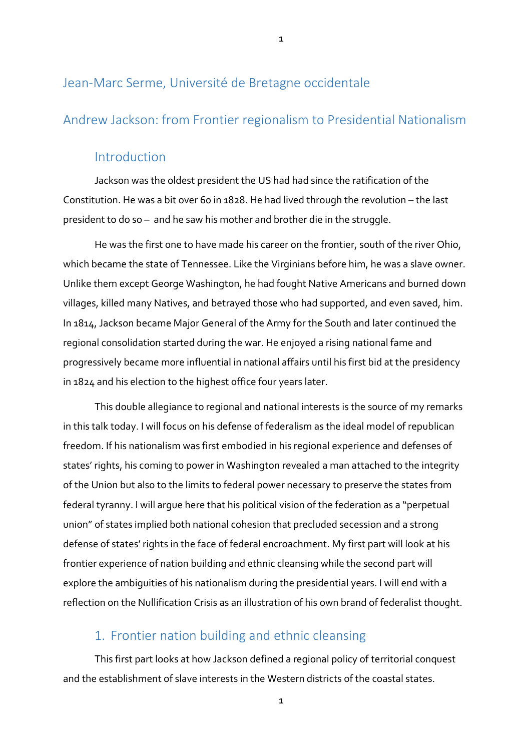# Jean-Marc Serme, Université de Bretagne occidentale

## Andrew Jackson: from Frontier regionalism to Presidential Nationalism

### Introduction

Jackson was the oldest president the US had had since the ratification of the Constitution. He was a bit over 60 in 1828. He had lived through the revolution – the last president to do so – and he saw his mother and brother die in the struggle.

He was the first one to have made his career on the frontier, south of the river Ohio, which became the state of Tennessee. Like the Virginians before him, he was a slave owner. Unlike them except George Washington, he had fought Native Americans and burned down villages, killed many Natives, and betrayed those who had supported, and even saved, him. In 1814, Jackson became Major General of the Army for the South and later continued the regional consolidation started during the war. He enjoyed a rising national fame and progressively became more influential in national affairs until his first bid at the presidency in 1824 and his election to the highest office four years later.

This double allegiance to regional and national interests is the source of my remarks in this talk today. I will focus on his defense of federalism as the ideal model of republican freedom. If his nationalism was first embodied in his regional experience and defenses of states' rights, his coming to power in Washington revealed a man attached to the integrity of the Union but also to the limits to federal power necessary to preserve the states from federal tyranny. I will argue here that his political vision of the federation as a "perpetual union" of states implied both national cohesion that precluded secession and a strong defense of states' rights in the face of federal encroachment. My first part will look at his frontier experience of nation building and ethnic cleansing while the second part will explore the ambiguities of his nationalism during the presidential years. I will end with a reflection on the Nullification Crisis as an illustration of his own brand of federalist thought.

# 1. Frontier nation building and ethnic cleansing

This first part looks at how Jackson defined a regional policy of territorial conquest and the establishment of slave interests in the Western districts of the coastal states.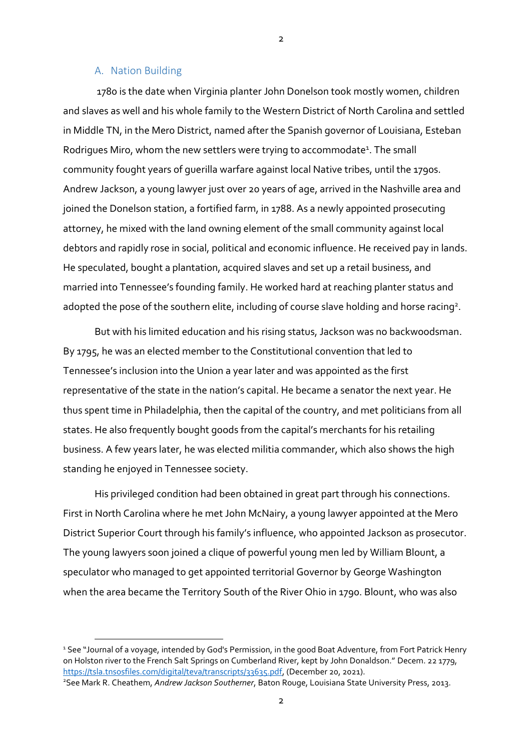#### A. Nation Building

1780 is the date when Virginia planter John Donelson took mostly women, children and slaves as well and his whole family to the Western District of North Carolina and settled in Middle TN, in the Mero District, named after the Spanish governor of Louisiana, Esteban Rodrigues Miro, whom the new settlers were trying to accommodate<sup>1</sup>. The small community fought years of guerilla warfare against local Native tribes, until the 1790s. Andrew Jackson, a young lawyer just over 20 years of age, arrived in the Nashville area and joined the Donelson station, a fortified farm, in 1788. As a newly appointed prosecuting attorney, he mixed with the land owning element of the small community against local debtors and rapidly rose in social, political and economic influence. He received pay in lands. He speculated, bought a plantation, acquired slaves and set up a retail business, and married into Tennessee's founding family. He worked hard at reaching planter status and adopted the pose of the southern elite, including of course slave holding and horse racing<sup>2</sup>.

But with his limited education and his rising status, Jackson was no backwoodsman. By 1795, he was an elected member to the Constitutional convention that led to Tennessee's inclusion into the Union a year later and was appointed as the first representative of the state in the nation's capital. He became a senator the next year. He thus spent time in Philadelphia, then the capital of the country, and met politicians from all states. He also frequently bought goods from the capital's merchants for his retailing business. A few years later, he was elected militia commander, which also shows the high standing he enjoyed in Tennessee society.

His privileged condition had been obtained in great part through his connections. First in North Carolina where he met John McNairy, a young lawyer appointed at the Mero District Superior Court through his family's influence, who appointed Jackson as prosecutor. The young lawyers soon joined a clique of powerful young men led by William Blount, a speculator who managed to get appointed territorial Governor by George Washington when the area became the Territory South of the River Ohio in 1790. Blount, who was also

 $\overline{2}$ 

<sup>&</sup>lt;sup>1</sup> See "Journal of a voyage, intended by God's Permission, in the good Boat Adventure, from Fort Patrick Henry on Holston river to the French Salt Springs on Cumberland River, kept by John Donaldson." Decem. 22 1779, [https://tsla.tnsosfiles.com/digital/teva/transcripts/33635.pdf,](https://tsla.tnsosfiles.com/digital/teva/transcripts/33635.pdf) (December 20, 2021).

<sup>2</sup>See Mark R. Cheathem, *Andrew Jackson Southerner*, Baton Rouge, Louisiana State University Press, 2013.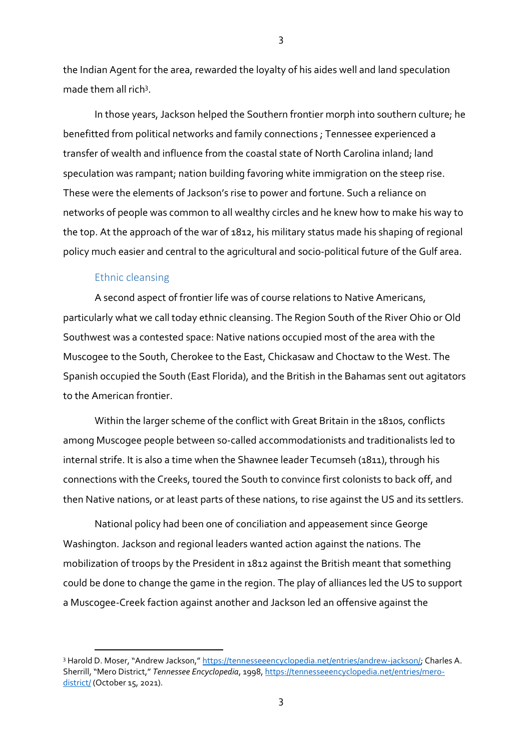the Indian Agent for the area, rewarded the loyalty of his aides well and land speculation made them all rich<sup>3</sup>.

In those years, Jackson helped the Southern frontier morph into southern culture; he benefitted from political networks and family connections ; Tennessee experienced a transfer of wealth and influence from the coastal state of North Carolina inland; land speculation was rampant; nation building favoring white immigration on the steep rise. These were the elements of Jackson's rise to power and fortune. Such a reliance on networks of people was common to all wealthy circles and he knew how to make his way to the top. At the approach of the war of 1812, his military status made his shaping of regional policy much easier and central to the agricultural and socio-political future of the Gulf area.

#### Ethnic cleansing

A second aspect of frontier life was of course relations to Native Americans, particularly what we call today ethnic cleansing. The Region South of the River Ohio or Old Southwest was a contested space: Native nations occupied most of the area with the Muscogee to the South, Cherokee to the East, Chickasaw and Choctaw to the West. The Spanish occupied the South (East Florida), and the British in the Bahamas sent out agitators to the American frontier.

Within the larger scheme of the conflict with Great Britain in the 1810s, conflicts among Muscogee people between so-called accommodationists and traditionalists led to internal strife. It is also a time when the Shawnee leader Tecumseh (1811), through his connections with the Creeks, toured the South to convince first colonists to back off, and then Native nations, or at least parts of these nations, to rise against the US and its settlers.

National policy had been one of conciliation and appeasement since George Washington. Jackson and regional leaders wanted action against the nations. The mobilization of troops by the President in 1812 against the British meant that something could be done to change the game in the region. The play of alliances led the US to support a Muscogee-Creek faction against another and Jackson led an offensive against the

<sup>3</sup> Harold D. Moser, "Andrew Jackson," [https://tennesseeencyclopedia.net/entries/andrew-jackson/;](https://tennesseeencyclopedia.net/entries/andrew-jackson/) Charles A. Sherrill, "Mero District," *Tennessee Encyclopedia*, 1998[, https://tennesseeencyclopedia.net/entries/mero](https://tennesseeencyclopedia.net/entries/mero-district/)[district/](https://tennesseeencyclopedia.net/entries/mero-district/) (October 15, 2021).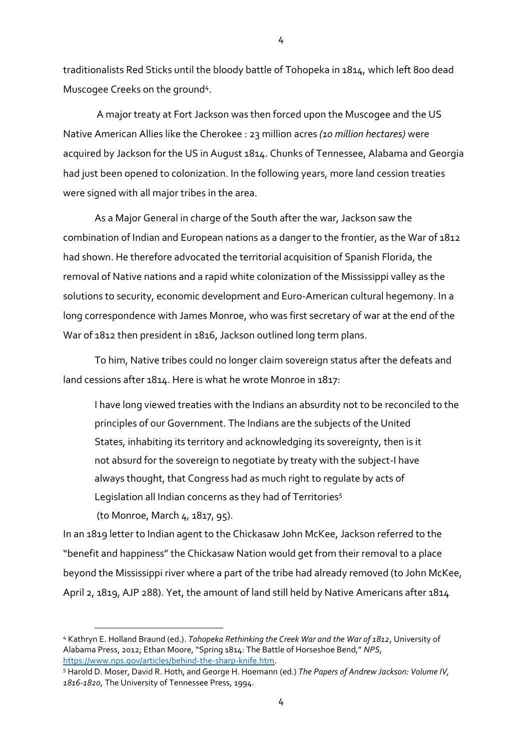traditionalists Red Sticks until the bloody battle of Tohopeka in 1814, which left 800 dead Muscogee Creeks on the ground<sup>4</sup>.

A major treaty at Fort Jackson was then forced upon the Muscogee and the US Native American Allies like the Cherokee : 23 million acres *(10 million hectares)* were acquired by Jackson for the US in August 1814. Chunks of Tennessee, Alabama and Georgia had just been opened to colonization. In the following years, more land cession treaties were signed with all major tribes in the area.

As a Major General in charge of the South after the war, Jackson saw the combination of Indian and European nations as a danger to the frontier, as the War of 1812 had shown. He therefore advocated the territorial acquisition of Spanish Florida, the removal of Native nations and a rapid white colonization of the Mississippi valley as the solutions to security, economic development and Euro-American cultural hegemony. In a long correspondence with James Monroe, who was first secretary of war at the end of the War of 1812 then president in 1816, Jackson outlined long term plans.

To him, Native tribes could no longer claim sovereign status after the defeats and land cessions after 1814. Here is what he wrote Monroe in 1817:

I have long viewed treaties with the Indians an absurdity not to be reconciled to the principles of our Government. The Indians are the subjects of the United States, inhabiting its territory and acknowledging its sovereignty, then is it not absurd for the sovereign to negotiate by treaty with the subject-I have always thought, that Congress had as much right to regulate by acts of Legislation all Indian concerns as they had of Territories<sup>5</sup>

(to Monroe, March 4, 1817, 95).

In an 1819 letter to Indian agent to the Chickasaw John McKee, Jackson referred to the "benefit and happiness" the Chickasaw Nation would get from their removal to a place beyond the Mississippi river where a part of the tribe had already removed (to John McKee, April 2, 1819, AJP 288). Yet, the amount of land still held by Native Americans after 1814

<sup>4</sup> Kathryn E. Holland Braund (ed.). *Tohopeka Rethinking the Creek War and the War of 1812*, University of Alabama Press, 2012; Ethan Moore, "Spring 1814: The Battle of Horseshoe Bend," *NPS*, [https://www.nps.gov/articles/behind-the-sharp-knife.htm.](https://www.nps.gov/articles/behind-the-sharp-knife.htm)

<sup>5</sup> Harold D. Moser, David R. Hoth, and George H. Hoemann (ed.) *The Papers of Andrew Jackson: Volume IV, 1816-1820,* The University of Tennessee Press, 1994.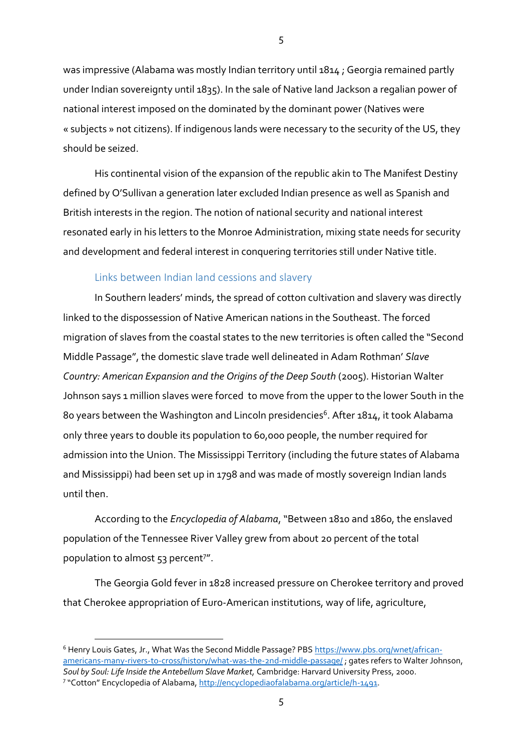was impressive (Alabama was mostly Indian territory until 1814 ; Georgia remained partly under Indian sovereignty until 1835). In the sale of Native land Jackson a regalian power of national interest imposed on the dominated by the dominant power (Natives were « subjects » not citizens). If indigenous lands were necessary to the security of the US, they should be seized.

His continental vision of the expansion of the republic akin to The Manifest Destiny defined by O'Sullivan a generation later excluded Indian presence as well as Spanish and British interests in the region. The notion of national security and national interest resonated early in his letters to the Monroe Administration, mixing state needs for security and development and federal interest in conquering territories still under Native title.

#### Links between Indian land cessions and slavery

In Southern leaders' minds, the spread of cotton cultivation and slavery was directly linked to the dispossession of Native American nations in the Southeast. The forced migration of slaves from the coastal states to the new territories is often called the "Second Middle Passage", the domestic slave trade well delineated in Adam Rothman' *Slave Country: American Expansion and the Origins of the Deep South* (2005). Historian Walter Johnson says 1 million slaves were forced to move from the upper to the lower South in the 80 years between the Washington and Lincoln presidencies<sup>6</sup>. After 1814, it took Alabama only three years to double its population to 60,000 people, the number required for admission into the Union. The Mississippi Territory (including the future states of Alabama and Mississippi) had been set up in 1798 and was made of mostly sovereign Indian lands until then.

According to the *Encyclopedia of Alabama*, "Between 1810 and 1860, the enslaved population of the Tennessee River Valley grew from about 20 percent of the total population to almost 53 percent<sup>7"</sup>.

The Georgia Gold fever in 1828 increased pressure on Cherokee territory and proved that Cherokee appropriation of Euro-American institutions, way of life, agriculture,

<sup>&</sup>lt;sup>6</sup> Henry Louis Gates, Jr., What Was the Second Middle Passage? PBS [https://www.pbs.org/wnet/african](https://www.pbs.org/wnet/african-americans-many-rivers-to-cross/history/what-was-the-2nd-middle-passage/)[americans-many-rivers-to-cross/history/what-was-the-2nd-middle-passage/](https://www.pbs.org/wnet/african-americans-many-rivers-to-cross/history/what-was-the-2nd-middle-passage/) ; gates refers to Walter Johnson, *Soul by Soul: Life Inside the Antebellum Slave Market,* Cambridge: Harvard University Press, 2000. <sup>7</sup> "Cotton" Encyclopedia of Alabama, [http://encyclopediaofalabama.org/article/h-1491.](http://encyclopediaofalabama.org/article/h-1491)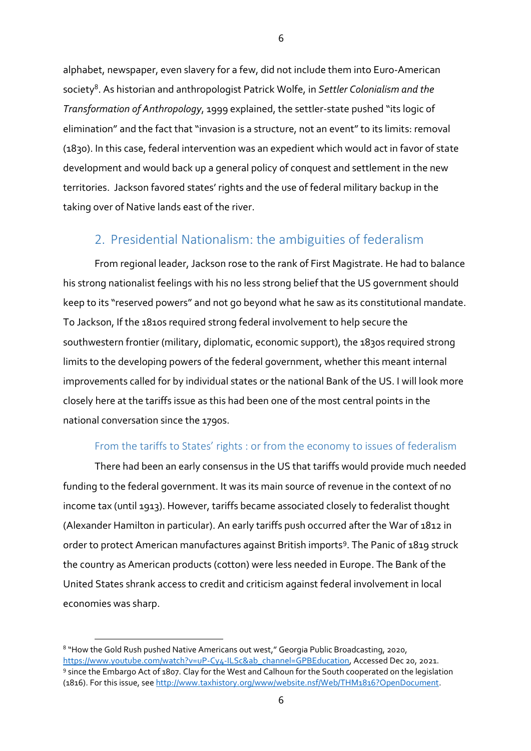alphabet, newspaper, even slavery for a few, did not include them into Euro-American society<sup>8</sup> . As historian and anthropologist Patrick Wolfe, in *Settler Colonialism and the Transformation of Anthropology*, 1999 explained, the settler-state pushed "its logic of elimination" and the fact that "invasion is a structure, not an event" to its limits: removal (1830). In this case, federal intervention was an expedient which would act in favor of state development and would back up a general policy of conquest and settlement in the new territories. Jackson favored states' rights and the use of federal military backup in the taking over of Native lands east of the river.

# 2. Presidential Nationalism: the ambiguities of federalism

From regional leader, Jackson rose to the rank of First Magistrate. He had to balance his strong nationalist feelings with his no less strong belief that the US government should keep to its "reserved powers" and not go beyond what he saw as its constitutional mandate. To Jackson, If the 1810s required strong federal involvement to help secure the southwestern frontier (military, diplomatic, economic support), the 1830s required strong limits to the developing powers of the federal government, whether this meant internal improvements called for by individual states or the national Bank of the US. I will look more closely here at the tariffs issue as this had been one of the most central points in the national conversation since the 1790s.

### From the tariffs to States' rights : or from the economy to issues of federalism

There had been an early consensus in the US that tariffs would provide much needed funding to the federal government. It was its main source of revenue in the context of no income tax (until 1913). However, tariffs became associated closely to federalist thought (Alexander Hamilton in particular). An early tariffs push occurred after the War of 1812 in order to protect American manufactures against British imports<sup>9</sup>. The Panic of 1819 struck the country as American products (cotton) were less needed in Europe. The Bank of the United States shrank access to credit and criticism against federal involvement in local economies was sharp.

<sup>&</sup>lt;sup>8</sup> "How the Gold Rush pushed Native Americans out west," Georgia Public Broadcasting, 2020, [https://www.youtube.com/watch?v=uP-Cy4-ILSc&ab\\_channel=GPBEducation,](https://www.youtube.com/watch?v=uP-Cy4-ILSc&ab_channel=GPBEducation) Accessed Dec 20, 2021. 9 since the Embargo Act of 1807. Clay for the West and Calhoun for the South cooperated on the legislation (1816). For this issue, see [http://www.taxhistory.org/www/website.nsf/Web/THM1816?OpenDocument.](http://www.taxhistory.org/www/website.nsf/Web/THM1816?OpenDocument)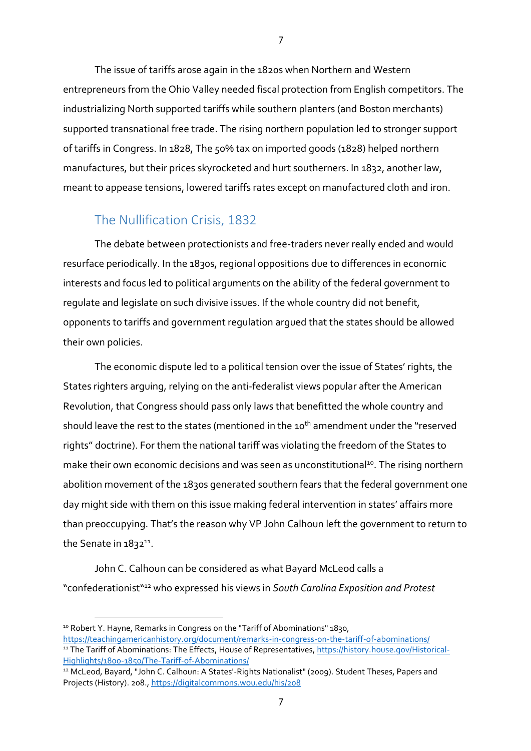The issue of tariffs arose again in the 1820s when Northern and Western entrepreneurs from the Ohio Valley needed fiscal protection from English competitors. The industrializing North supported tariffs while southern planters (and Boston merchants) supported transnational free trade. The rising northern population led to stronger support of tariffs in Congress. In 1828, The 50% tax on imported goods (1828) helped northern manufactures, but their prices skyrocketed and hurt southerners. In 1832, another law, meant to appease tensions, lowered tariffs rates except on manufactured cloth and iron.

## The Nullification Crisis, 1832

The debate between protectionists and free-traders never really ended and would resurface periodically. In the 1830s, regional oppositions due to differences in economic interests and focus led to political arguments on the ability of the federal government to regulate and legislate on such divisive issues. If the whole country did not benefit, opponents to tariffs and government regulation argued that the states should be allowed their own policies.

The economic dispute led to a political tension over the issue of States' rights, the States righters arguing, relying on the anti-federalist views popular after the American Revolution, that Congress should pass only laws that benefitted the whole country and should leave the rest to the states (mentioned in the 10<sup>th</sup> amendment under the "reserved rights" doctrine). For them the national tariff was violating the freedom of the States to make their own economic decisions and was seen as unconstitutional<sup>10</sup>. The rising northern abolition movement of the 1830s generated southern fears that the federal government one day might side with them on this issue making federal intervention in states' affairs more than preoccupying. That's the reason why VP John Calhoun left the government to return to the Senate in 1832<sup>11</sup>.

John C. Calhoun can be considered as what Bayard McLeod calls a "confederationist" <sup>12</sup> who expressed his views in *South Carolina Exposition and Protest* 

<sup>10</sup> Robert Y. Hayne, Remarks in Congress on the "Tariff of Abominations" 1830,

<https://teachingamericanhistory.org/document/remarks-in-congress-on-the-tariff-of-abominations/> <sup>11</sup> The Tariff of Abominations: The Effects, House of Representatives[, https://history.house.gov/Historical-](https://history.house.gov/Historical-Highlights/1800-1850/The-Tariff-of-Abominations/)[Highlights/1800-1850/The-Tariff-of-Abominations/](https://history.house.gov/Historical-Highlights/1800-1850/The-Tariff-of-Abominations/)

<sup>&</sup>lt;sup>12</sup> McLeod, Bayard, "John C. Calhoun: A States'-Rights Nationalist" (2009). Student Theses, Papers and Projects (History). 208.,<https://digitalcommons.wou.edu/his/208>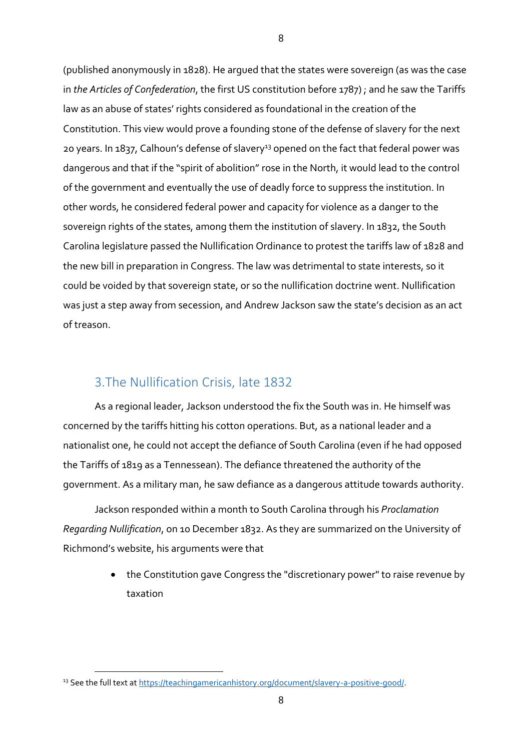(published anonymously in 1828). He argued that the states were sovereign (as was the case in *the Articles of Confederation*, the first US constitution before 1787) ; and he saw the Tariffs law as an abuse of states' rights considered as foundational in the creation of the Constitution. This view would prove a founding stone of the defense of slavery for the next 20 years. In 1837, Calhoun's defense of slavery<sup>13</sup> opened on the fact that federal power was dangerous and that if the "spirit of abolition" rose in the North, it would lead to the control of the government and eventually the use of deadly force to suppress the institution. In other words, he considered federal power and capacity for violence as a danger to the sovereign rights of the states, among them the institution of slavery. In 1832, the South Carolina legislature passed the Nullification Ordinance to protest the tariffs law of 1828 and the new bill in preparation in Congress. The law was detrimental to state interests, so it could be voided by that sovereign state, or so the nullification doctrine went. Nullification was just a step away from secession, and Andrew Jackson saw the state's decision as an act of treason.

### 3.The Nullification Crisis, late 1832

As a regional leader, Jackson understood the fix the South was in. He himself was concerned by the tariffs hitting his cotton operations. But, as a national leader and a nationalist one, he could not accept the defiance of South Carolina (even if he had opposed the Tariffs of 1819 as a Tennessean). The defiance threatened the authority of the government. As a military man, he saw defiance as a dangerous attitude towards authority.

Jackson responded within a month to South Carolina through his *Proclamation Regarding Nullification*, on 10 December 1832. As they are summarized on the University of Richmond's website, his arguments were that

> • the Constitution gave Congress the "discretionary power" to raise revenue by taxation

<sup>&</sup>lt;sup>13</sup> See the full text at [https://teachingamericanhistory.org/document/slavery-a-positive-good/.](https://teachingamericanhistory.org/document/slavery-a-positive-good/)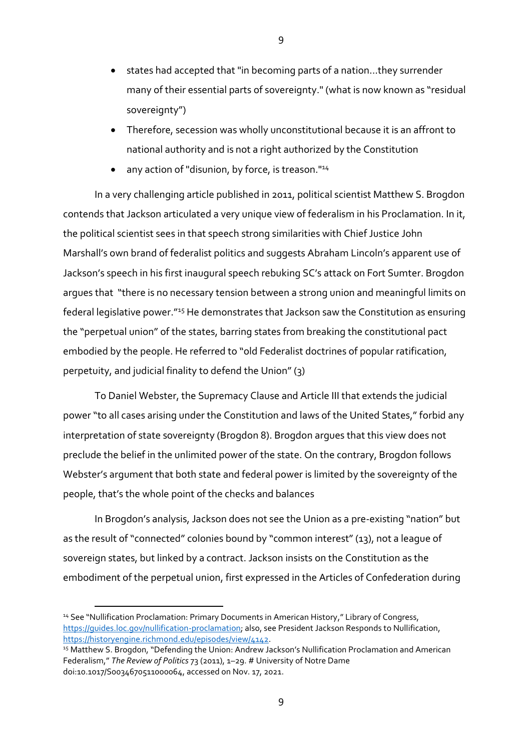- states had accepted that "in becoming parts of a nation...they surrender many of their essential parts of sovereignty." (what is now known as "residual sovereignty")
- Therefore, secession was wholly unconstitutional because it is an affront to national authority and is not a right authorized by the Constitution
- any action of "disunion, by force, is treason."<sup>14</sup>

In a very challenging article published in 2011, political scientist Matthew S. Brogdon contends that Jackson articulated a very unique view of federalism in his Proclamation. In it, the political scientist sees in that speech strong similarities with Chief Justice John Marshall's own brand of federalist politics and suggests Abraham Lincoln's apparent use of Jackson's speech in his first inaugural speech rebuking SC's attack on Fort Sumter. Brogdon argues that "there is no necessary tension between a strong union and meaningful limits on federal legislative power."<sup>15</sup> He demonstrates that Jackson saw the Constitution as ensuring the "perpetual union" of the states, barring states from breaking the constitutional pact embodied by the people. He referred to "old Federalist doctrines of popular ratification, perpetuity, and judicial finality to defend the Union" (3)

To Daniel Webster, the Supremacy Clause and Article III that extends the judicial power "to all cases arising under the Constitution and laws of the United States," forbid any interpretation of state sovereignty (Brogdon 8). Brogdon argues that this view does not preclude the belief in the unlimited power of the state. On the contrary, Brogdon follows Webster's argument that both state and federal power is limited by the sovereignty of the people, that's the whole point of the checks and balances

In Brogdon's analysis, Jackson does not see the Union as a pre-existing "nation" but as the result of "connected" colonies bound by "common interest" (13), not a league of sovereign states, but linked by a contract. Jackson insists on the Constitution as the embodiment of the perpetual union, first expressed in the Articles of Confederation during

<sup>&</sup>lt;sup>14</sup> See "Nullification Proclamation: Primary Documents in American History," Library of Congress, [https://guides.loc.gov/nullification-proclamation;](https://guides.loc.gov/nullification-proclamation) also, see President Jackson Responds to Nullification, [https://historyengine.richmond.edu/episodes/view/4142.](https://historyengine.richmond.edu/episodes/view/4142)

<sup>&</sup>lt;sup>15</sup> Matthew S. Brogdon, "Defending the Union: Andrew Jackson's Nullification Proclamation and American Federalism," *The Review of Politics* 73 (2011), 1–29. # University of Notre Dame doi:10.1017/S0034670511000064, accessed on Nov. 17, 2021.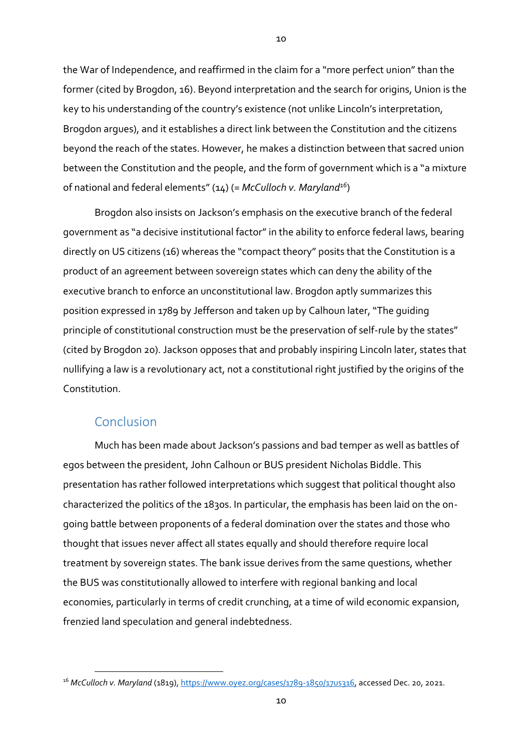the War of Independence, and reaffirmed in the claim for a "more perfect union" than the former (cited by Brogdon, 16). Beyond interpretation and the search for origins, Union is the key to his understanding of the country's existence (not unlike Lincoln's interpretation, Brogdon argues), and it establishes a direct link between the Constitution and the citizens beyond the reach of the states. However, he makes a distinction between that sacred union between the Constitution and the people, and the form of government which is a "a mixture of national and federal elements" (14) (= *McCulloch v. Maryland<sup>16</sup>*)

Brogdon also insists on Jackson's emphasis on the executive branch of the federal government as "a decisive institutional factor" in the ability to enforce federal laws, bearing directly on US citizens (16) whereas the "compact theory" posits that the Constitution is a product of an agreement between sovereign states which can deny the ability of the executive branch to enforce an unconstitutional law. Brogdon aptly summarizes this position expressed in 1789 by Jefferson and taken up by Calhoun later, "The guiding principle of constitutional construction must be the preservation of self-rule by the states" (cited by Brogdon 20). Jackson opposes that and probably inspiring Lincoln later, states that nullifying a law is a revolutionary act, not a constitutional right justified by the origins of the Constitution.

### Conclusion

Much has been made about Jackson's passions and bad temper as well as battles of egos between the president, John Calhoun or BUS president Nicholas Biddle. This presentation has rather followed interpretations which suggest that political thought also characterized the politics of the 1830s. In particular, the emphasis has been laid on the ongoing battle between proponents of a federal domination over the states and those who thought that issues never affect all states equally and should therefore require local treatment by sovereign states. The bank issue derives from the same questions, whether the BUS was constitutionally allowed to interfere with regional banking and local economies, particularly in terms of credit crunching, at a time of wild economic expansion, frenzied land speculation and general indebtedness.

 $1<sub>0</sub>$ 

<sup>16</sup> *McCulloch v. Maryland* (1819), [https://www.oyez.org/cases/1789-1850/17us316,](https://www.oyez.org/cases/1789-1850/17us316) accessed Dec. 20, 2021.